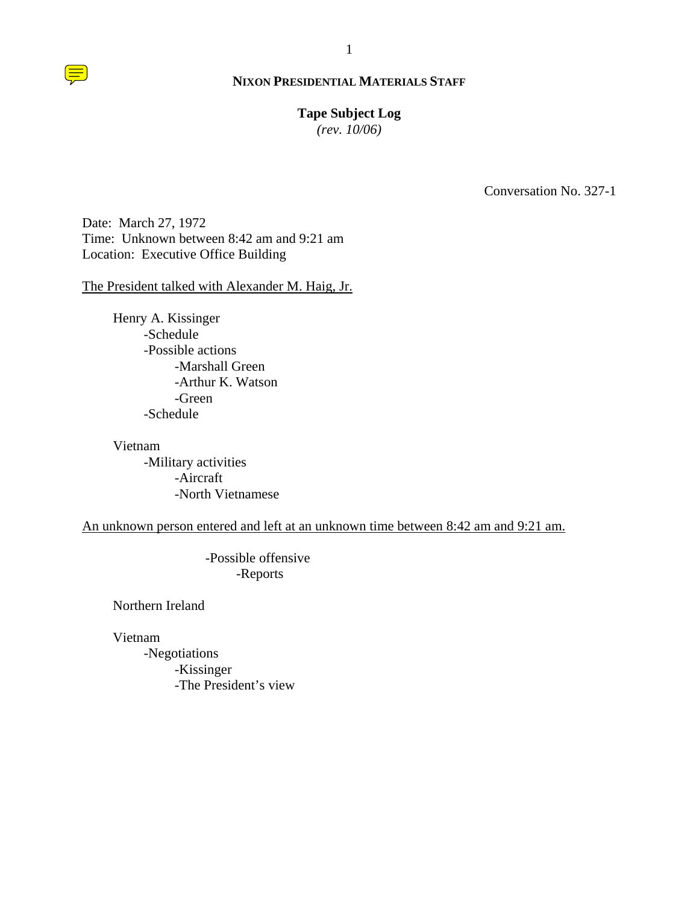#### **Tape Subject Log**

*(rev. 10/06)*

Conversation No. 327-1

Date: March 27, 1972 Time: Unknown between 8:42 am and 9:21 am Location: Executive Office Building

The President talked with Alexander M. Haig, Jr.

Henry A. Kissinger -Schedule -Possible actions -Marshall Green -Arthur K. Watson -Green -Schedule

Vietnam -Military activities -Aircraft -North Vietnamese

An unknown person entered and left at an unknown time between 8:42 am and 9:21 am.

 -Possible offensive -Reports

Northern Ireland

Vietnam

 -Negotiations -Kissinger -The President's view

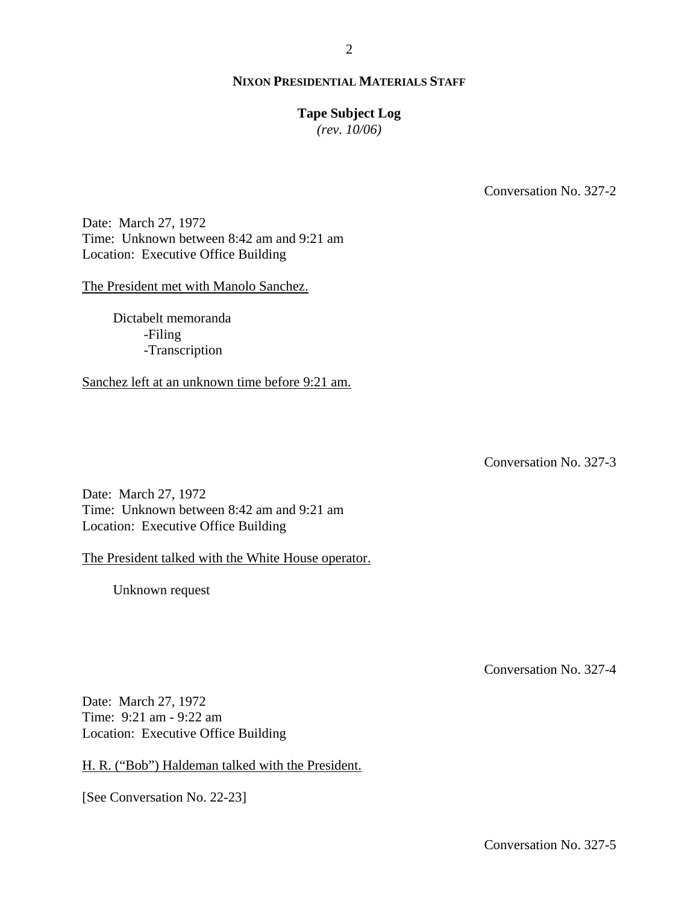## **Tape Subject Log**

*(rev. 10/06)*

Conversation No. 327-2

Date: March 27, 1972 Time: Unknown between 8:42 am and 9:21 am Location: Executive Office Building

The President met with Manolo Sanchez.

Dictabelt memoranda -Filing -Transcription

Sanchez left at an unknown time before 9:21 am.

Conversation No. 327-3

Date: March 27, 1972 Time: Unknown between 8:42 am and 9:21 am Location: Executive Office Building

The President talked with the White House operator.

Unknown request

Conversation No. 327-4

Date: March 27, 1972 Time: 9:21 am - 9:22 am Location: Executive Office Building

H. R. ("Bob") Haldeman talked with the President.

[See Conversation No. 22-23]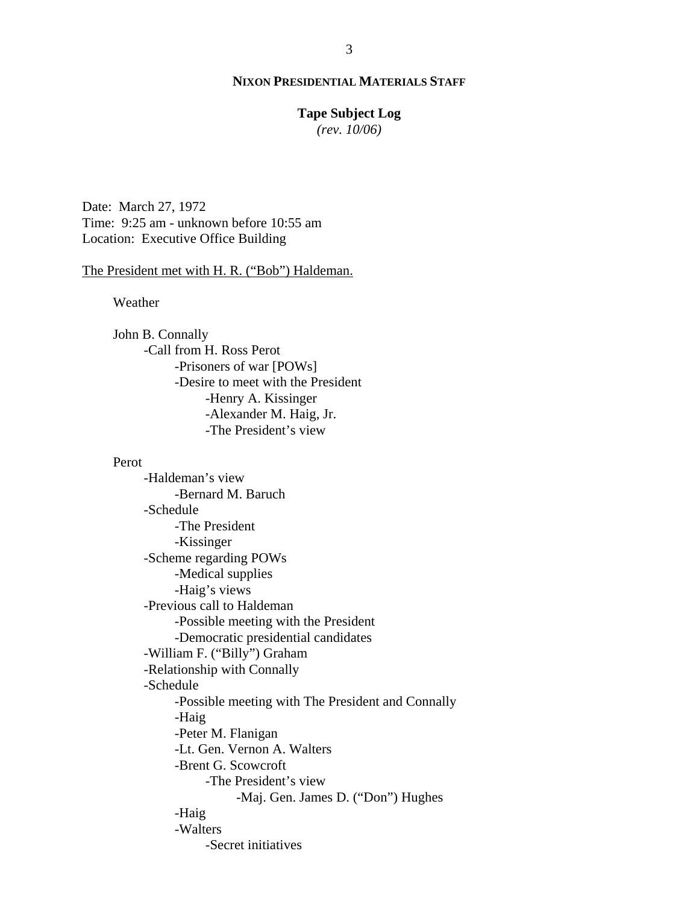## **Tape Subject Log**

*(rev. 10/06)*

Date: March 27, 1972 Time: 9:25 am - unknown before 10:55 am Location: Executive Office Building

#### The President met with H. R. ("Bob") Haldeman.

Weather

John B. Connally -Call from H. Ross Perot -Prisoners of war [POWs] -Desire to meet with the President -Henry A. Kissinger -Alexander M. Haig, Jr. -The President's view

#### Perot

-Haldeman's view -Bernard M. Baruch -Schedule -The President -Kissinger -Scheme regarding POWs -Medical supplies -Haig's views -Previous call to Haldeman -Possible meeting with the President -Democratic presidential candidates -William F. ("Billy") Graham -Relationship with Connally -Schedule -Possible meeting with The President and Connally -Haig -Peter M. Flanigan -Lt. Gen. Vernon A. Walters -Brent G. Scowcroft -The President's view -Maj. Gen. James D. ("Don") Hughes -Haig -Walters -Secret initiatives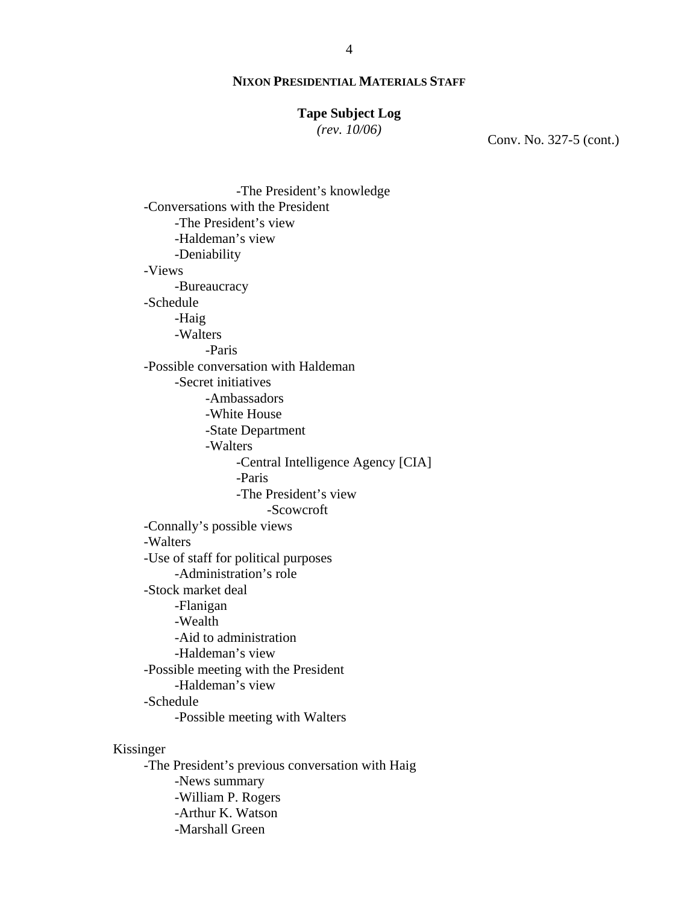# **Tape Subject Log**

*(rev. 10/06)*

Conv. No. 327-5 (cont.)

 -The President's knowledge -Conversations with the President -The President's view -Haldeman's view -Deniability -Views -Bureaucracy -Schedule -Haig -Walters -Paris -Possible conversation with Haldeman -Secret initiatives -Ambassadors -White House -State Department -Walters -Central Intelligence Agency [CIA] -Paris -The President's view -Scowcroft -Connally's possible views -Walters -Use of staff for political purposes -Administration's role -Stock market deal -Flanigan -Wealth -Aid to administration -Haldeman's view -Possible meeting with the President -Haldeman's view -Schedule -Possible meeting with Walters Kissinger -The President's previous conversation with Haig -News summary -William P. Rogers

-Arthur K. Watson

-Marshall Green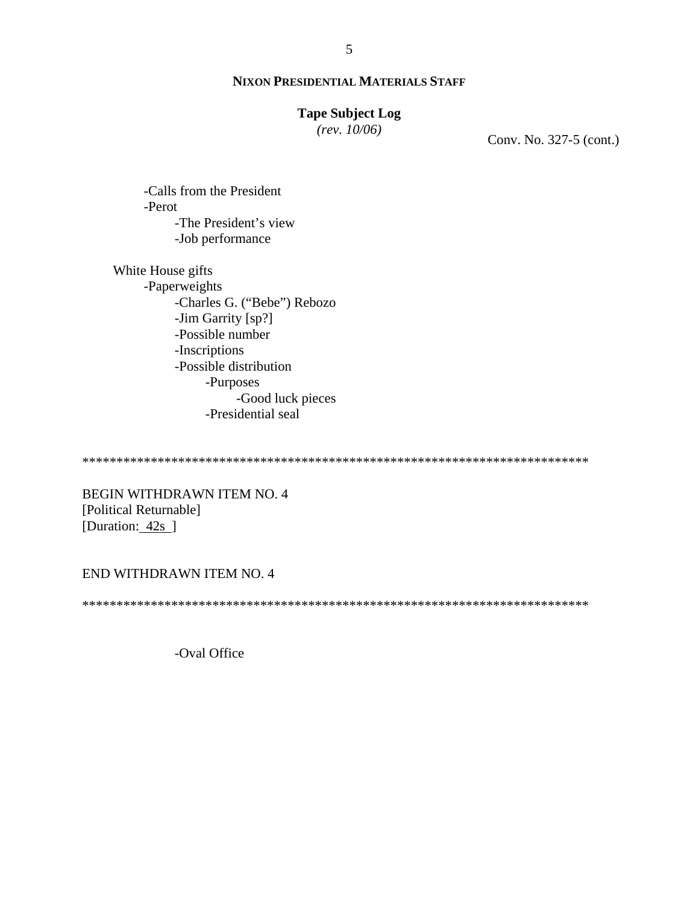## **Tape Subject Log**

*(rev. 10/06)*

Conv. No. 327-5 (cont.)

-Calls from the President -Perot -The President's view -Job performance

White House gifts -Paperweights -Charles G. ("Bebe") Rebozo -Jim Garrity [sp?] -Possible number -Inscriptions -Possible distribution -Purposes -Good luck pieces -Presidential seal

\*\*\*\*\*\*\*\*\*\*\*\*\*\*\*\*\*\*\*\*\*\*\*\*\*\*\*\*\*\*\*\*\*\*\*\*\*\*\*\*\*\*\*\*\*\*\*\*\*\*\*\*\*\*\*\*\*\*\*\*\*\*\*\*\*\*\*\*\*\*\*\*\*\*

BEGIN WITHDRAWN ITEM NO. 4 [Political Returnable] [Duration: 42s ]

## END WITHDRAWN ITEM NO. 4

\*\*\*\*\*\*\*\*\*\*\*\*\*\*\*\*\*\*\*\*\*\*\*\*\*\*\*\*\*\*\*\*\*\*\*\*\*\*\*\*\*\*\*\*\*\*\*\*\*\*\*\*\*\*\*\*\*\*\*\*\*\*\*\*\*\*\*\*\*\*\*\*\*\*

-Oval Office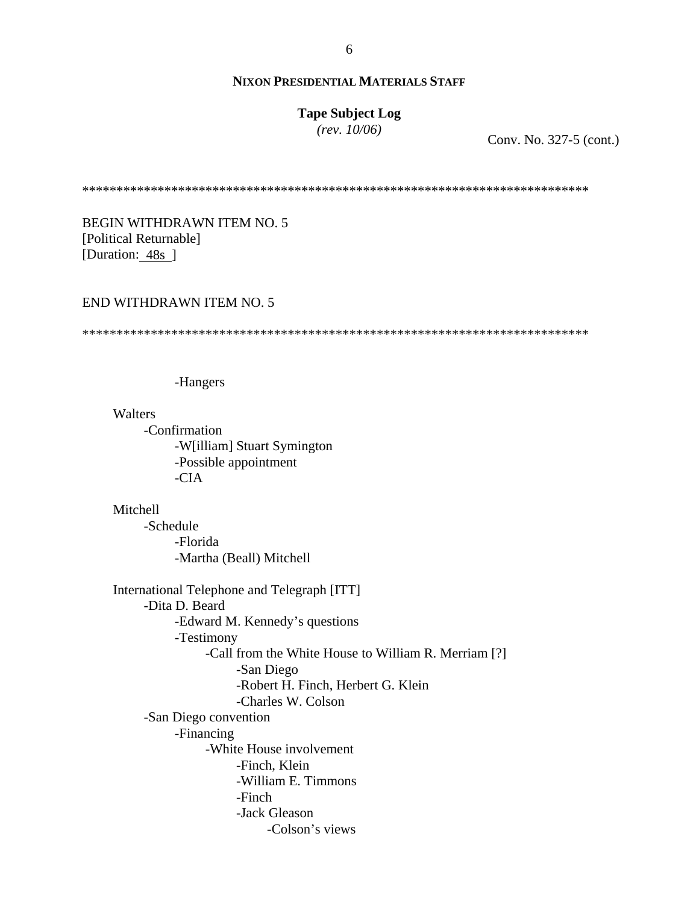# **Tape Subject Log**

*(rev. 10/06)*

Conv. No. 327-5 (cont.)

\*\*\*\*\*\*\*\*\*\*\*\*\*\*\*\*\*\*\*\*\*\*\*\*\*\*\*\*\*\*\*\*\*\*\*\*\*\*\*\*\*\*\*\*\*\*\*\*\*\*\*\*\*\*\*\*\*\*\*\*\*\*\*\*\*\*\*\*\*\*\*\*\*\*

BEGIN WITHDRAWN ITEM NO. 5 [Political Returnable] [Duration: 48s]

#### END WITHDRAWN ITEM NO. 5

\*\*\*\*\*\*\*\*\*\*\*\*\*\*\*\*\*\*\*\*\*\*\*\*\*\*\*\*\*\*\*\*\*\*\*\*\*\*\*\*\*\*\*\*\*\*\*\*\*\*\*\*\*\*\*\*\*\*\*\*\*\*\*\*\*\*\*\*\*\*\*\*\*\*

-Hangers

**Walters** -Confirmation -W[illiam] Stuart Symington -Possible appointment -CIA

Mitchell -Schedule -Florida -Martha (Beall) Mitchell

International Telephone and Telegraph [ITT] -Dita D. Beard -Edward M. Kennedy's questions -Testimony -Call from the White House to William R. Merriam [?] -San Diego -Robert H. Finch, Herbert G. Klein -Charles W. Colson -San Diego convention -Financing -White House involvement -Finch, Klein -William E. Timmons -Finch -Jack Gleason -Colson's views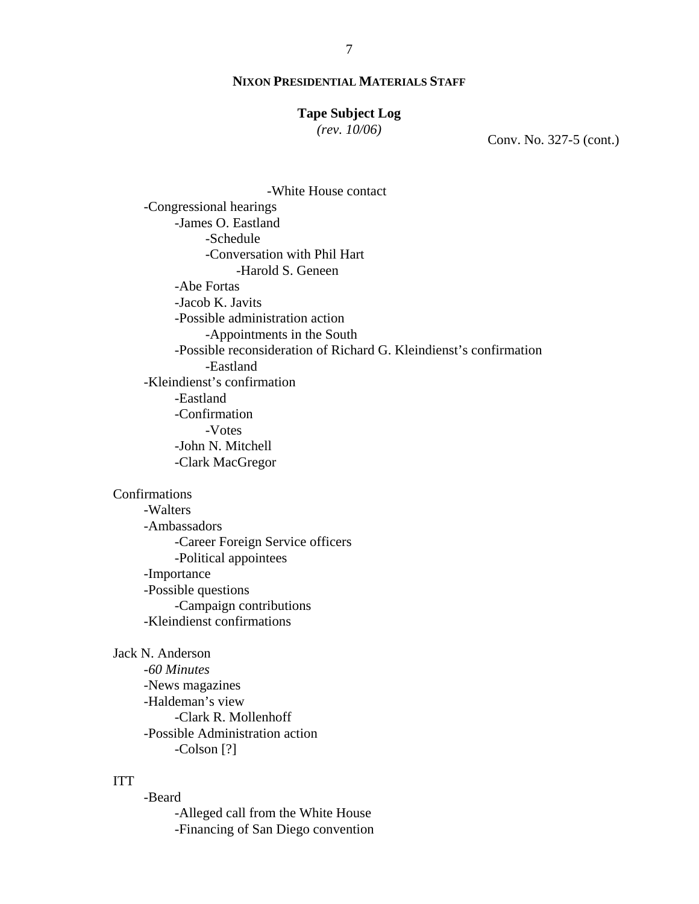# **Tape Subject Log**

*(rev. 10/06)*

Conv. No. 327-5 (cont.)

-White House contact -Congressional hearings -James O. Eastland -Schedule -Conversation with Phil Hart -Harold S. Geneen -Abe Fortas -Jacob K. Javits -Possible administration action -Appointments in the South -Possible reconsideration of Richard G. Kleindienst's confirmation -Eastland -Kleindienst's confirmation -Eastland -Confirmation -Votes -John N. Mitchell -Clark MacGregor

# Confirmations

-Walters -Ambassadors -Career Foreign Service officers -Political appointees -Importance -Possible questions -Campaign contributions -Kleindienst confirmations

Jack N. Anderson -*60 Minutes* -News magazines -Haldeman's view -Clark R. Mollenhoff -Possible Administration action -Colson [?]

#### ITT

-Beard

-Alleged call from the White House -Financing of San Diego convention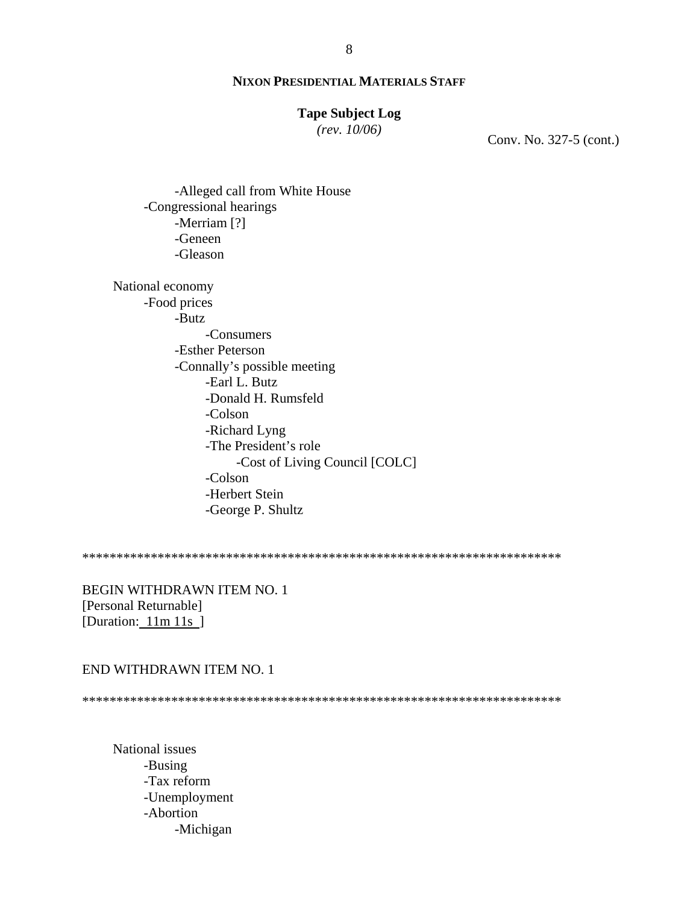## **Tape Subject Log**

*(rev. 10/06)*

Conv. No. 327-5 (cont.)

-Alleged call from White House -Congressional hearings -Merriam [?] -Geneen -Gleason

National economy -Food prices -Butz -Consumers -Esther Peterson -Connally's possible meeting -Earl L. Butz -Donald H. Rumsfeld -Colson -Richard Lyng -The President's role -Cost of Living Council [COLC] -Colson -Herbert Stein -George P. Shultz

\*\*\*\*\*\*\*\*\*\*\*\*\*\*\*\*\*\*\*\*\*\*\*\*\*\*\*\*\*\*\*\*\*\*\*\*\*\*\*\*\*\*\*\*\*\*\*\*\*\*\*\*\*\*\*\*\*\*\*\*\*\*\*\*\*\*\*\*\*\*

BEGIN WITHDRAWN ITEM NO. 1 [Personal Returnable] [Duration: 11m 11s ]

#### END WITHDRAWN ITEM NO. 1

\*\*\*\*\*\*\*\*\*\*\*\*\*\*\*\*\*\*\*\*\*\*\*\*\*\*\*\*\*\*\*\*\*\*\*\*\*\*\*\*\*\*\*\*\*\*\*\*\*\*\*\*\*\*\*\*\*\*\*\*\*\*\*\*\*\*\*\*\*\*

National issues -Busing -Tax reform -Unemployment -Abortion -Michigan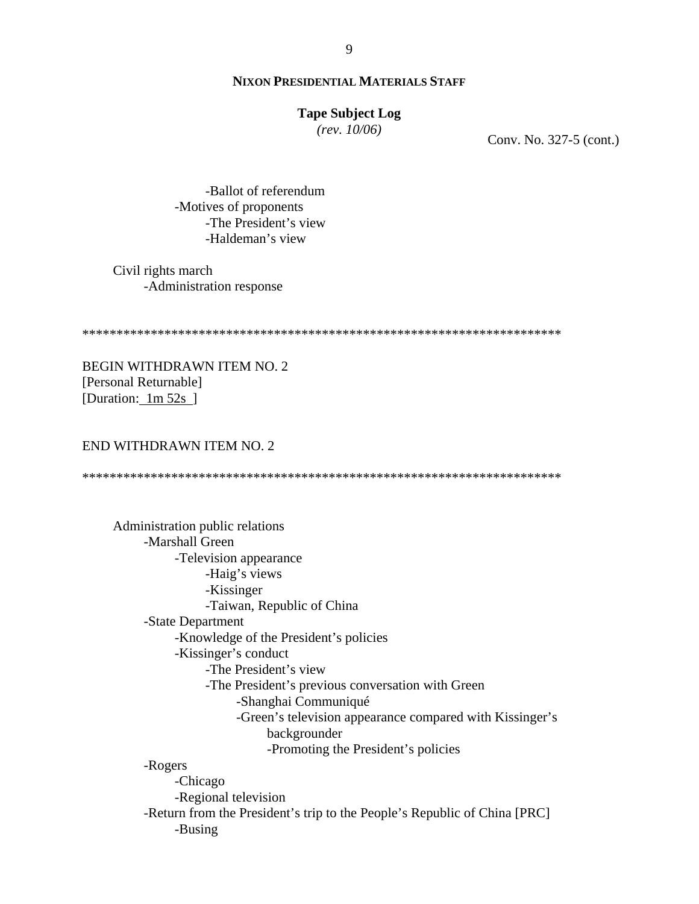#### **Tape Subject Log**

*(rev. 10/06)*

Conv. No. 327-5 (cont.)

 -Ballot of referendum -Motives of proponents -The President's view -Haldeman's view

Civil rights march -Administration response

\*\*\*\*\*\*\*\*\*\*\*\*\*\*\*\*\*\*\*\*\*\*\*\*\*\*\*\*\*\*\*\*\*\*\*\*\*\*\*\*\*\*\*\*\*\*\*\*\*\*\*\*\*\*\*\*\*\*\*\*\*\*\*\*\*\*\*\*\*\*

BEGIN WITHDRAWN ITEM NO. 2 [Personal Returnable] [Duration: 1m 52s]

#### END WITHDRAWN ITEM NO. 2

\*\*\*\*\*\*\*\*\*\*\*\*\*\*\*\*\*\*\*\*\*\*\*\*\*\*\*\*\*\*\*\*\*\*\*\*\*\*\*\*\*\*\*\*\*\*\*\*\*\*\*\*\*\*\*\*\*\*\*\*\*\*\*\*\*\*\*\*\*\*

 Administration public relations -Marshall Green -Television appearance -Haig's views -Kissinger -Taiwan, Republic of China -State Department -Knowledge of the President's policies -Kissinger's conduct -The President's view -The President's previous conversation with Green -Shanghai Communiqué -Green's television appearance compared with Kissinger's backgrounder -Promoting the President's policies -Rogers -Chicago -Regional television -Return from the President's trip to the People's Republic of China [PRC] -Busing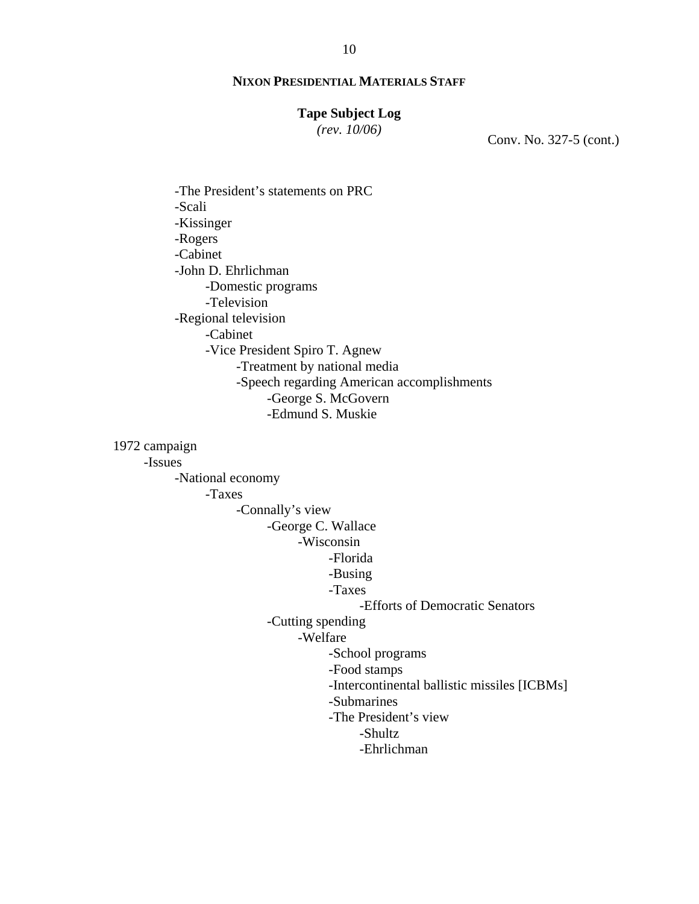## **Tape Subject Log**

*(rev. 10/06)*

Conv. No. 327-5 (cont.)

 -The President's statements on PRC -Scali -Kissinger -Rogers -Cabinet -John D. Ehrlichman -Domestic programs -Television -Regional television -Cabinet -Vice President Spiro T. Agnew -Treatment by national media -Speech regarding American accomplishments -George S. McGovern -Edmund S. Muskie

1972 campaign

-Issues

-National economy

-Taxes

-Connally's view

-George C. Wallace

# -Wisconsin

-Florida

-Busing

# -Taxes

-Efforts of Democratic Senators

-Cutting spending

-Welfare

-School programs

-Food stamps

-Intercontinental ballistic missiles [ICBMs]

-Submarines

-The President's view

-Shultz

-Ehrlichman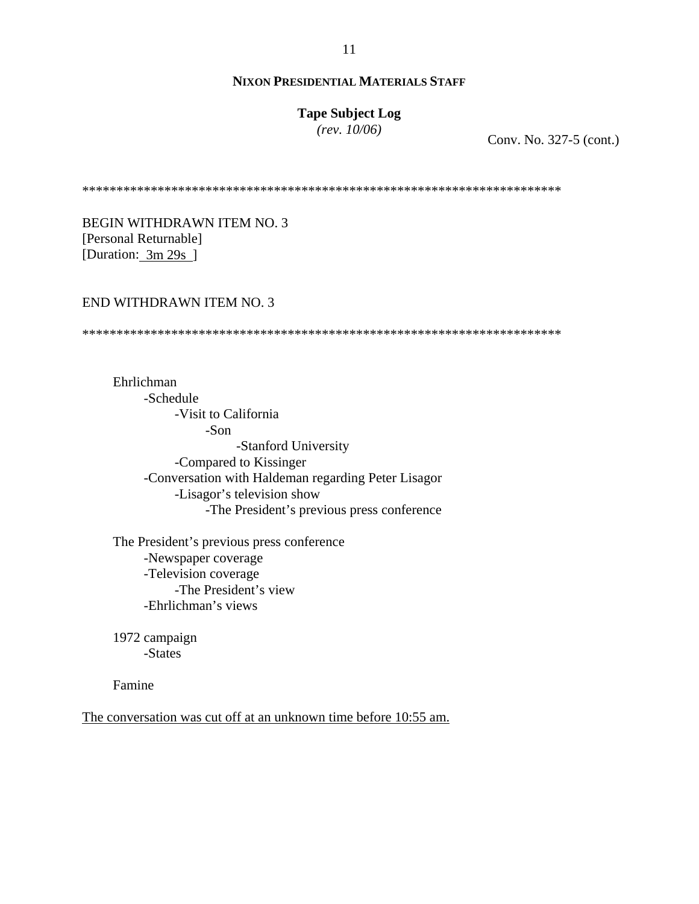# **Tape Subject Log**

*(rev. 10/06)*

Conv. No. 327-5 (cont.)

\*\*\*\*\*\*\*\*\*\*\*\*\*\*\*\*\*\*\*\*\*\*\*\*\*\*\*\*\*\*\*\*\*\*\*\*\*\*\*\*\*\*\*\*\*\*\*\*\*\*\*\*\*\*\*\*\*\*\*\*\*\*\*\*\*\*\*\*\*\*

BEGIN WITHDRAWN ITEM NO. 3 [Personal Returnable] [Duration:  $3m 29s$ ]

#### END WITHDRAWN ITEM NO. 3

\*\*\*\*\*\*\*\*\*\*\*\*\*\*\*\*\*\*\*\*\*\*\*\*\*\*\*\*\*\*\*\*\*\*\*\*\*\*\*\*\*\*\*\*\*\*\*\*\*\*\*\*\*\*\*\*\*\*\*\*\*\*\*\*\*\*\*\*\*\*

Ehrlichman -Schedule -Visit to California -Son -Stanford University -Compared to Kissinger -Conversation with Haldeman regarding Peter Lisagor -Lisagor's television show -The President's previous press conference

The President's previous press conference -Newspaper coverage -Television coverage -The President's view -Ehrlichman's views

1972 campaign -States

Famine

The conversation was cut off at an unknown time before 10:55 am.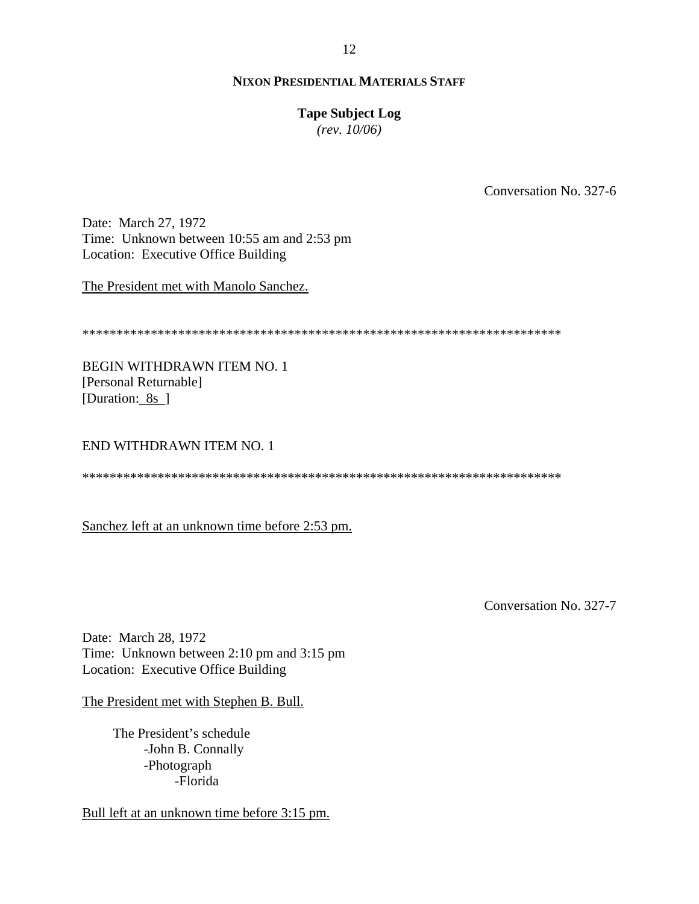## **Tape Subject Log**

*(rev. 10/06)*

Conversation No. 327-6

Date: March 27, 1972 Time: Unknown between 10:55 am and 2:53 pm Location: Executive Office Building

The President met with Manolo Sanchez.

\*\*\*\*\*\*\*\*\*\*\*\*\*\*\*\*\*\*\*\*\*\*\*\*\*\*\*\*\*\*\*\*\*\*\*\*\*\*\*\*\*\*\*\*\*\*\*\*\*\*\*\*\*\*\*\*\*\*\*\*\*\*\*\*\*\*\*\*\*\*

BEGIN WITHDRAWN ITEM NO. 1 [Personal Returnable] [Duration: 8s ]

#### END WITHDRAWN ITEM NO. 1

\*\*\*\*\*\*\*\*\*\*\*\*\*\*\*\*\*\*\*\*\*\*\*\*\*\*\*\*\*\*\*\*\*\*\*\*\*\*\*\*\*\*\*\*\*\*\*\*\*\*\*\*\*\*\*\*\*\*\*\*\*\*\*\*\*\*\*\*\*\*

Sanchez left at an unknown time before 2:53 pm.

Conversation No. 327-7

Date: March 28, 1972 Time: Unknown between 2:10 pm and 3:15 pm Location: Executive Office Building

The President met with Stephen B. Bull.

The President's schedule -John B. Connally -Photograph -Florida

Bull left at an unknown time before 3:15 pm.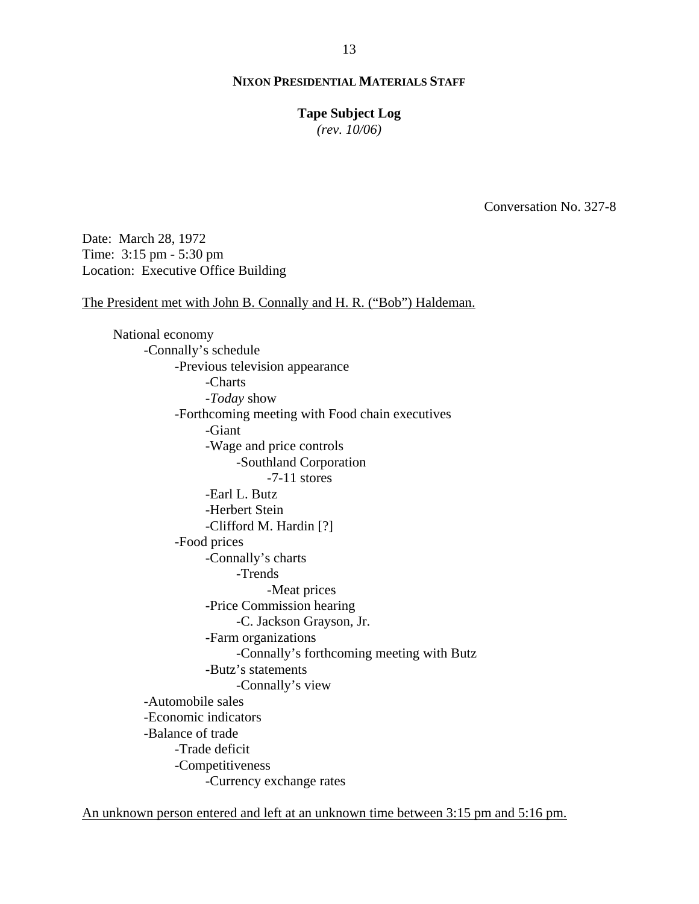#### **Tape Subject Log**

*(rev. 10/06)*

Conversation No. 327-8

Date: March 28, 1972 Time: 3:15 pm - 5:30 pm Location: Executive Office Building

The President met with John B. Connally and H. R. ("Bob") Haldeman.

National economy -Connally's schedule -Previous television appearance -Charts -*Today* show -Forthcoming meeting with Food chain executives -Giant -Wage and price controls -Southland Corporation -7-11 stores -Earl L. Butz -Herbert Stein -Clifford M. Hardin [?] -Food prices -Connally's charts -Trends -Meat prices -Price Commission hearing -C. Jackson Grayson, Jr. -Farm organizations -Connally's forthcoming meeting with Butz -Butz's statements -Connally's view -Automobile sales -Economic indicators -Balance of trade -Trade deficit -Competitiveness -Currency exchange rates

An unknown person entered and left at an unknown time between 3:15 pm and 5:16 pm.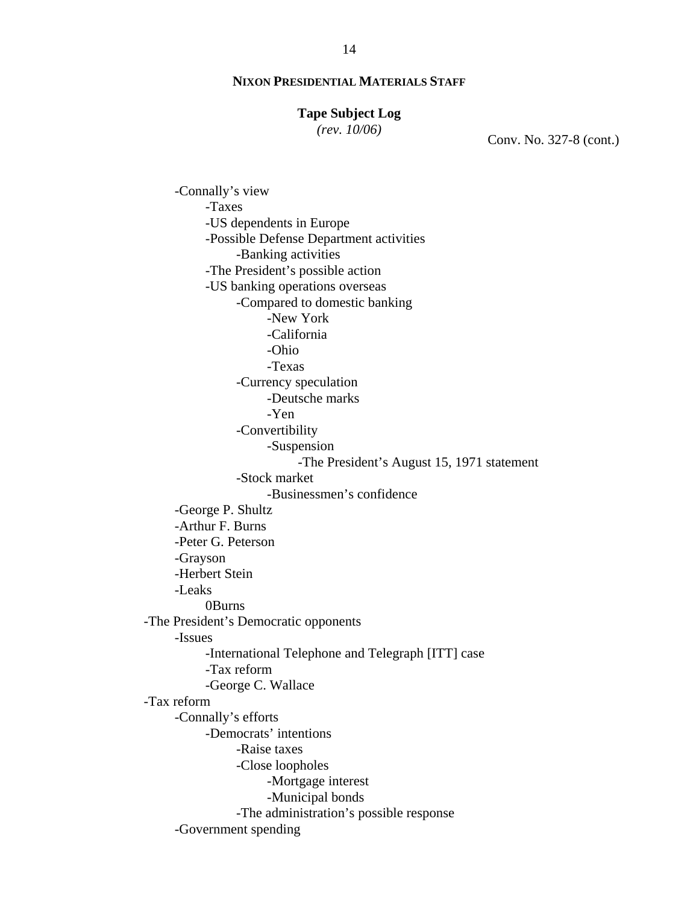#### **Tape Subject Log**

*(rev. 10/06)*

Conv. No. 327-8 (cont.)

 -Connally's view -Taxes -US dependents in Europe -Possible Defense Department activities -Banking activities -The President's possible action -US banking operations overseas -Compared to domestic banking -New York -California -Ohio -Texas -Currency speculation -Deutsche marks -Yen -Convertibility -Suspension -The President's August 15, 1971 statement -Stock market -Businessmen's confidence -George P. Shultz -Arthur F. Burns -Peter G. Peterson -Grayson -Herbert Stein -Leaks 0Burns -The President's Democratic opponents -Issues -International Telephone and Telegraph [ITT] case -Tax reform -George C. Wallace -Tax reform -Connally's efforts -Democrats' intentions -Raise taxes -Close loopholes -Mortgage interest -Municipal bonds -The administration's possible response -Government spending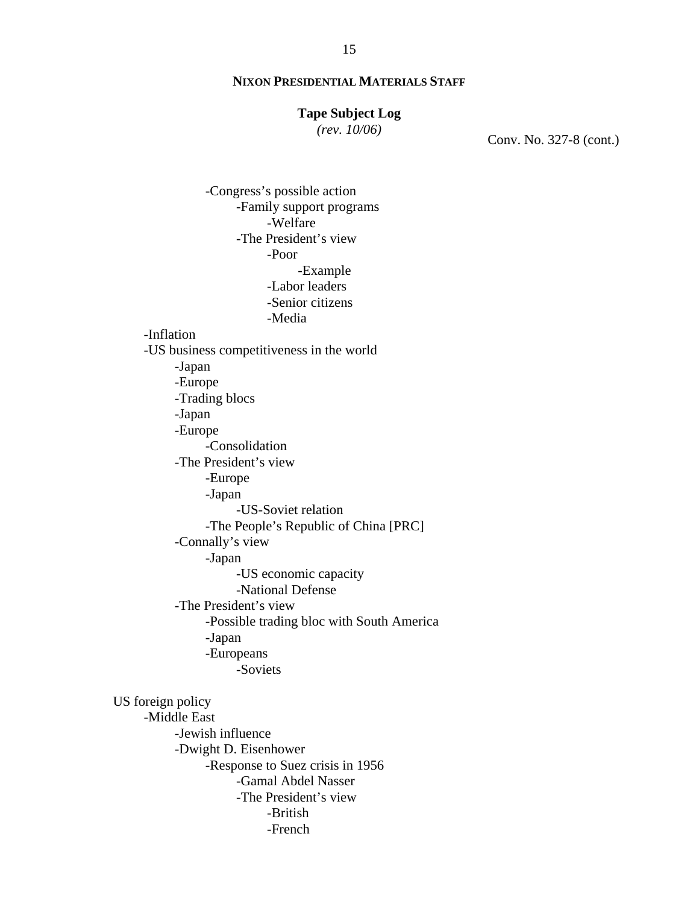#### **Tape Subject Log**

*(rev. 10/06)*

Conv. No. 327-8 (cont.)

 -Congress's possible action -Family support programs -Welfare -The President's view -Poor -Example -Labor leaders -Senior citizens -Media -Inflation -US business competitiveness in the world -Japan -Europe -Trading blocs -Japan -Europe -Consolidation -The President's view -Europe -Japan -US-Soviet relation -The People's Republic of China [PRC] -Connally's view -Japan -US economic capacity -National Defense -The President's view -Possible trading bloc with South America -Japan -Europeans -Soviets US foreign policy -Middle East -Jewish influence -Dwight D. Eisenhower -Response to Suez crisis in 1956 -Gamal Abdel Nasser -The President's view -British -French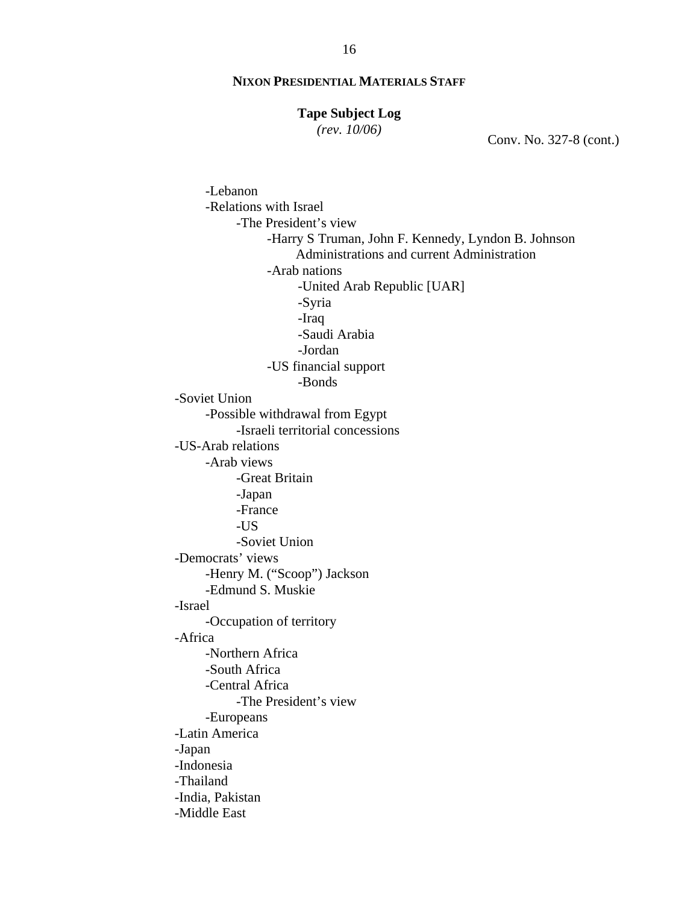## **Tape Subject Log**

*(rev. 10/06)*

Conv. No. 327-8 (cont.)

-Lebanon -Relations with Israel -The President's view -Harry S Truman, John F. Kennedy, Lyndon B. Johnson Administrations and current Administration -Arab nations -United Arab Republic [UAR] -Syria -Iraq -Saudi Arabia -Jordan -US financial support -Bonds -Soviet Union -Possible withdrawal from Egypt -Israeli territorial concessions -US-Arab relations -Arab views -Great Britain -Japan -France -US -Soviet Union -Democrats' views -Henry M. ("Scoop") Jackson -Edmund S. Muskie -Israel -Occupation of territory -Africa -Northern Africa -South Africa -Central Africa -The President's view -Europeans -Latin America -Japan -Indonesia -Thailand -India, Pakistan -Middle East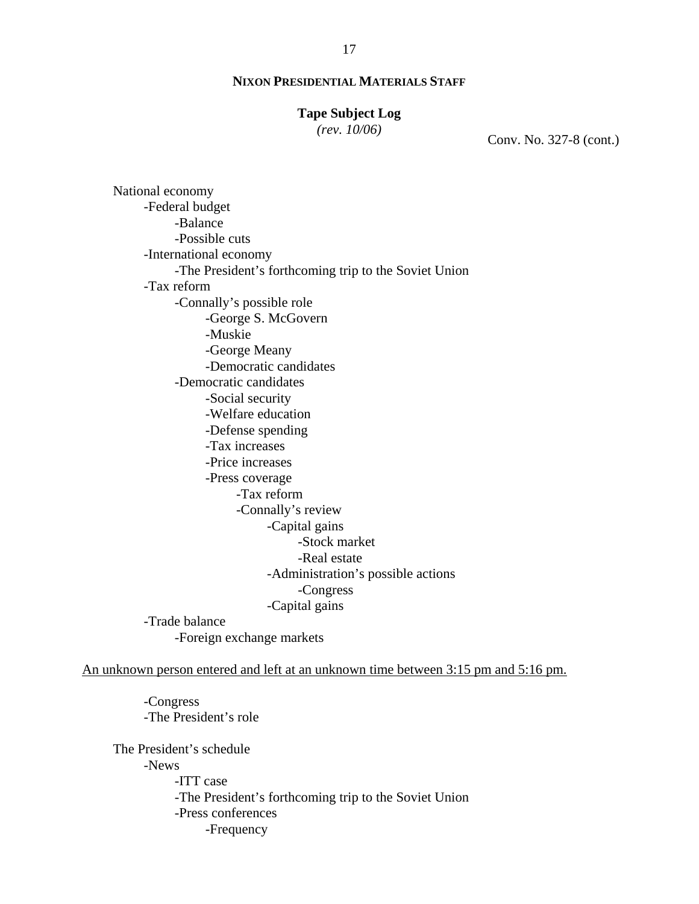# **Tape Subject Log**

*(rev. 10/06)*

Conv. No. 327-8 (cont.)

National economy -Federal budget -Balance -Possible cuts -International economy -The President's forthcoming trip to the Soviet Union -Tax reform -Connally's possible role -George S. McGovern -Muskie -George Meany -Democratic candidates -Democratic candidates -Social security -Welfare education -Defense spending -Tax increases -Price increases -Press coverage -Tax reform -Connally's review -Capital gains -Stock market -Real estate -Administration's possible actions -Congress -Capital gains -Trade balance -Foreign exchange markets

An unknown person entered and left at an unknown time between 3:15 pm and 5:16 pm.

-Congress -The President's role

The President's schedule -News -ITT case -The President's forthcoming trip to the Soviet Union -Press conferences -Frequency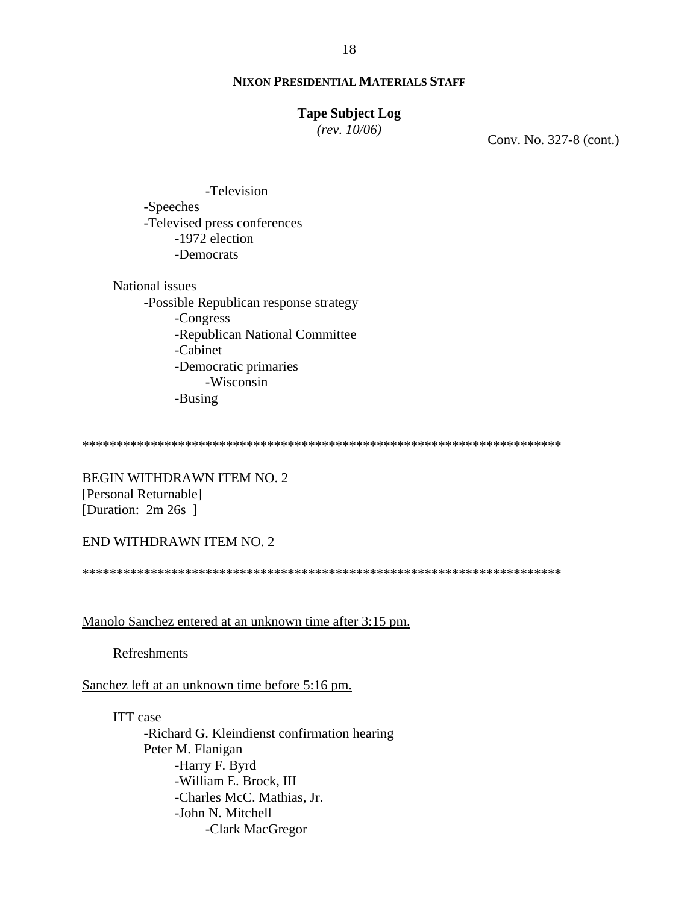## **Tape Subject Log**

*(rev. 10/06)*

Conv. No. 327-8 (cont.)

 -Television -Speeches -Televised press conferences -1972 election -Democrats

National issues -Possible Republican response strategy -Congress -Republican National Committee -Cabinet -Democratic primaries -Wisconsin -Busing

\*\*\*\*\*\*\*\*\*\*\*\*\*\*\*\*\*\*\*\*\*\*\*\*\*\*\*\*\*\*\*\*\*\*\*\*\*\*\*\*\*\*\*\*\*\*\*\*\*\*\*\*\*\*\*\*\*\*\*\*\*\*\*\*\*\*\*\*\*\*

BEGIN WITHDRAWN ITEM NO. 2 [Personal Returnable] [Duration: 2m 26s]

END WITHDRAWN ITEM NO. 2

\*\*\*\*\*\*\*\*\*\*\*\*\*\*\*\*\*\*\*\*\*\*\*\*\*\*\*\*\*\*\*\*\*\*\*\*\*\*\*\*\*\*\*\*\*\*\*\*\*\*\*\*\*\*\*\*\*\*\*\*\*\*\*\*\*\*\*\*\*\*

Manolo Sanchez entered at an unknown time after 3:15 pm.

Refreshments

Sanchez left at an unknown time before 5:16 pm.

ITT case

 -Richard G. Kleindienst confirmation hearing Peter M. Flanigan -Harry F. Byrd -William E. Brock, III -Charles McC. Mathias, Jr. -John N. Mitchell -Clark MacGregor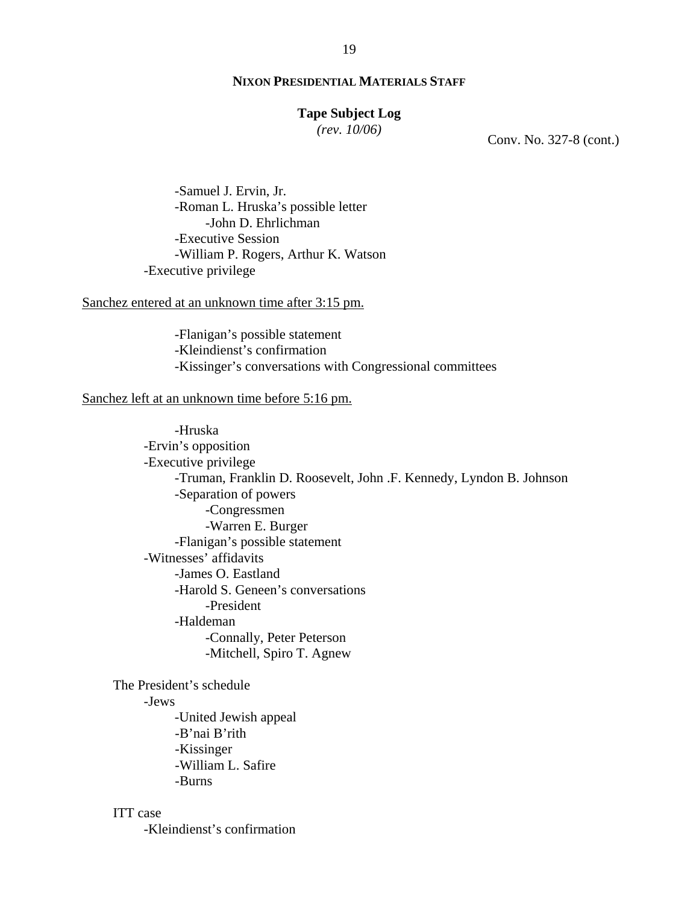#### **Tape Subject Log**

*(rev. 10/06)*

Conv. No. 327-8 (cont.)

 -Samuel J. Ervin, Jr. -Roman L. Hruska's possible letter -John D. Ehrlichman -Executive Session -William P. Rogers, Arthur K. Watson -Executive privilege

## Sanchez entered at an unknown time after 3:15 pm.

-Flanigan's possible statement -Kleindienst's confirmation -Kissinger's conversations with Congressional committees

#### Sanchez left at an unknown time before 5:16 pm.

 -Hruska -Ervin's opposition -Executive privilege -Truman, Franklin D. Roosevelt, John .F. Kennedy, Lyndon B. Johnson -Separation of powers -Congressmen -Warren E. Burger -Flanigan's possible statement -Witnesses' affidavits -James O. Eastland -Harold S. Geneen's conversations -President -Haldeman -Connally, Peter Peterson -Mitchell, Spiro T. Agnew

The President's schedule -Jews -United Jewish appeal -B'nai B'rith -Kissinger -William L. Safire -Burns

## ITT case

-Kleindienst's confirmation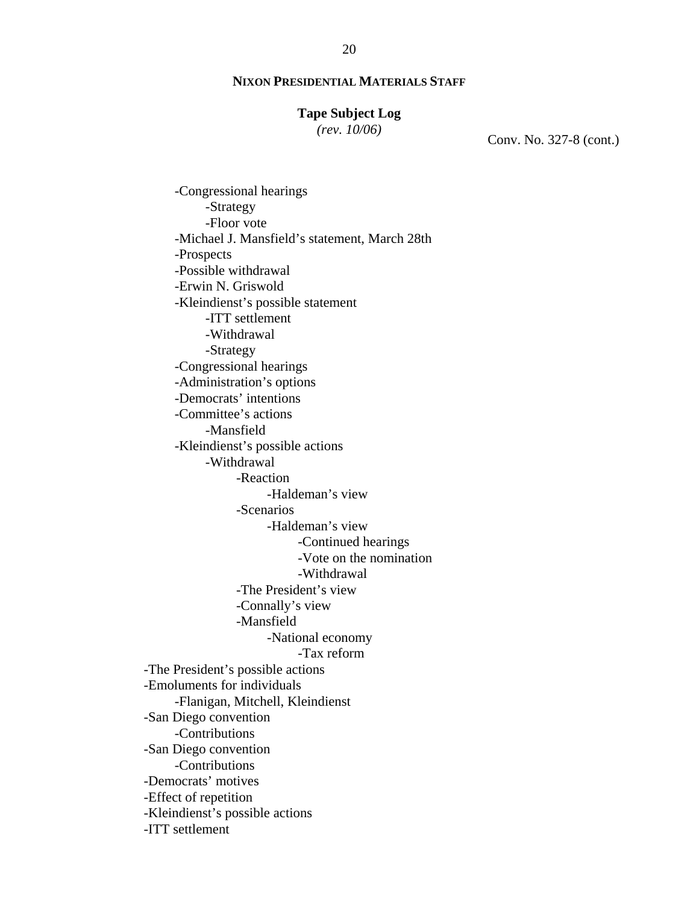## **Tape Subject Log**

*(rev. 10/06)*

Conv. No. 327-8 (cont.)

-Congressional hearings -Strategy -Floor vote -Michael J. Mansfield's statement, March 28th -Prospects -Possible withdrawal -Erwin N. Griswold -Kleindienst's possible statement -ITT settlement -Withdrawal -Strategy -Congressional hearings -Administration's options -Democrats' intentions -Committee's actions -Mansfield -Kleindienst's possible actions -Withdrawal -Reaction -Haldeman's view -Scenarios -Haldeman's view -Continued hearings -Vote on the nomination -Withdrawal -The President's view -Connally's view -Mansfield -National economy -Tax reform -The President's possible actions -Emoluments for individuals -Flanigan, Mitchell, Kleindienst -San Diego convention -Contributions -San Diego convention -Contributions -Democrats' motives -Effect of repetition -Kleindienst's possible actions -ITT settlement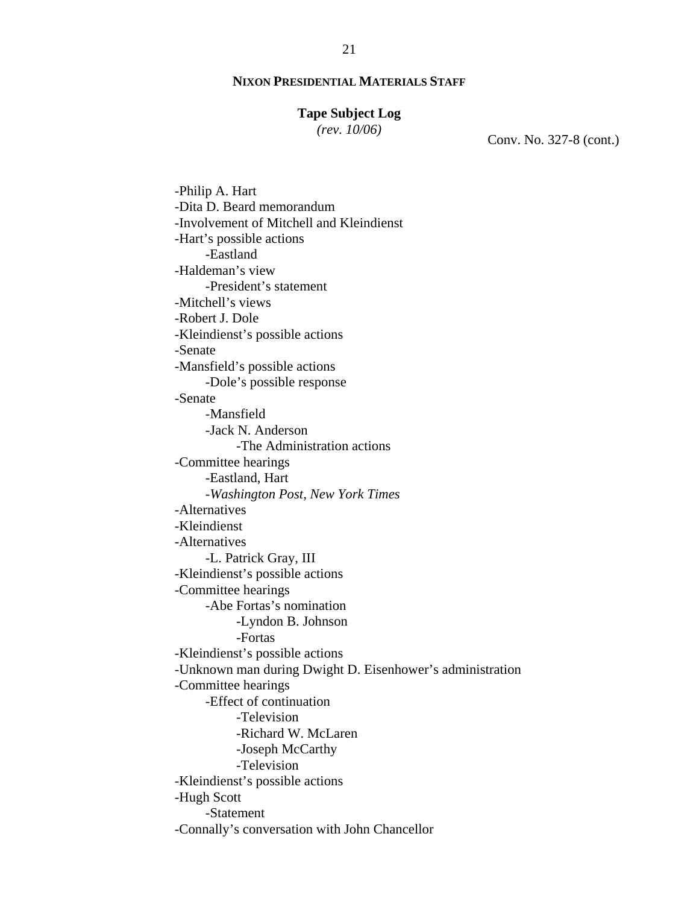#### **Tape Subject Log**

*(rev. 10/06)*

Conv. No. 327-8 (cont.)

-Philip A. Hart -Dita D. Beard memorandum -Involvement of Mitchell and Kleindienst -Hart's possible actions -Eastland -Haldeman's view -President's statement -Mitchell's views -Robert J. Dole -Kleindienst's possible actions -Senate -Mansfield's possible actions -Dole's possible response -Senate -Mansfield -Jack N. Anderson -The Administration actions -Committee hearings -Eastland, Hart -*Washington Post, New York Times*  -Alternatives -Kleindienst -Alternatives -L. Patrick Gray, III -Kleindienst's possible actions -Committee hearings -Abe Fortas's nomination -Lyndon B. Johnson -Fortas -Kleindienst's possible actions -Unknown man during Dwight D. Eisenhower's administration -Committee hearings -Effect of continuation -Television -Richard W. McLaren -Joseph McCarthy -Television -Kleindienst's possible actions -Hugh Scott -Statement -Connally's conversation with John Chancellor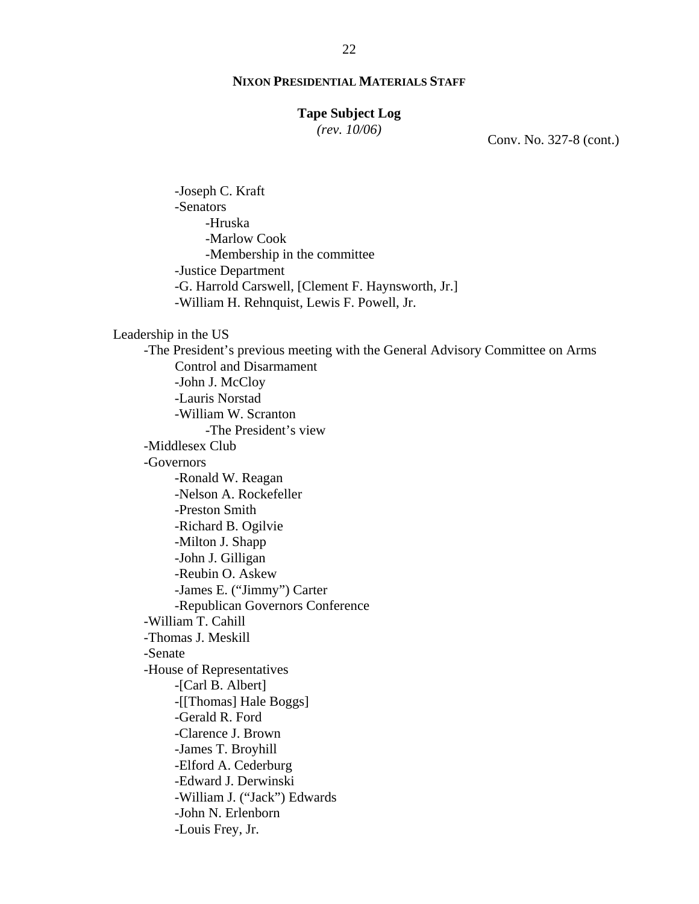#### **Tape Subject Log**

*(rev. 10/06)*

Conv. No. 327-8 (cont.)

 -Joseph C. Kraft -Senators -Hruska -Marlow Cook -Membership in the committee -Justice Department -G. Harrold Carswell, [Clement F. Haynsworth, Jr.] -William H. Rehnquist, Lewis F. Powell, Jr.

#### Leadership in the US

 -The President's previous meeting with the General Advisory Committee on Arms Control and Disarmament -John J. McCloy -Lauris Norstad -William W. Scranton -The President's view -Middlesex Club -Governors -Ronald W. Reagan -Nelson A. Rockefeller -Preston Smith -Richard B. Ogilvie -Milton J. Shapp -John J. Gilligan -Reubin O. Askew -James E. ("Jimmy") Carter -Republican Governors Conference -William T. Cahill -Thomas J. Meskill -Senate -House of Representatives -[Carl B. Albert] -[[Thomas] Hale Boggs] -Gerald R. Ford -Clarence J. Brown -James T. Broyhill -Elford A. Cederburg -Edward J. Derwinski -William J. ("Jack") Edwards -John N. Erlenborn -Louis Frey, Jr.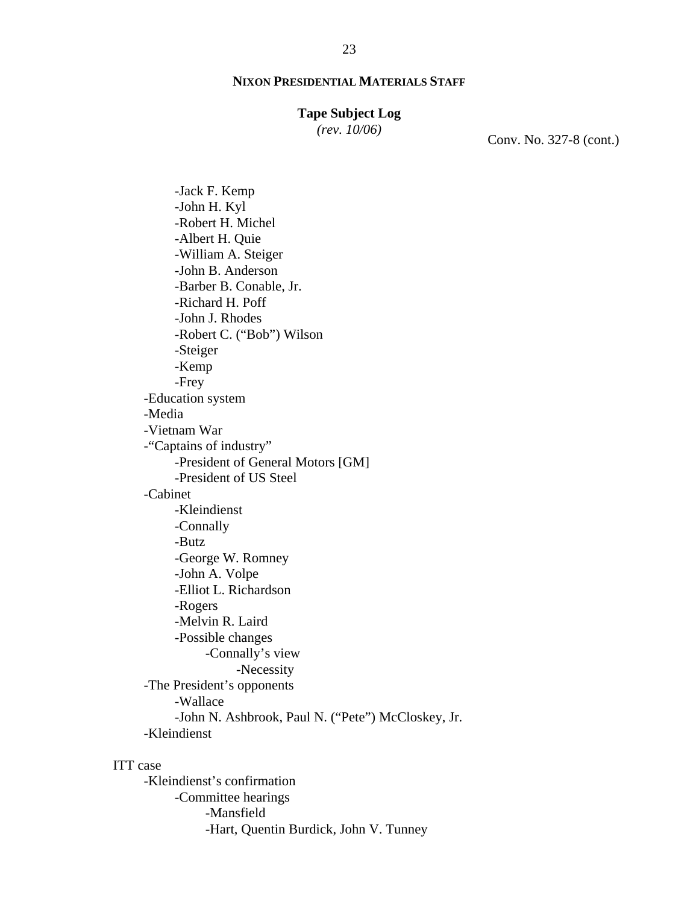#### **Tape Subject Log**

*(rev. 10/06)*

Conv. No. 327-8 (cont.)

-Jack F. Kemp -John H. Kyl -Robert H. Michel -Albert H. Quie -William A. Steiger -John B. Anderson -Barber B. Conable, Jr. -Richard H. Poff -John J. Rhodes -Robert C. ("Bob") Wilson -Steiger -Kemp -Frey -Education system -Media -Vietnam War -"Captains of industry" -President of General Motors [GM] -President of US Steel -Cabinet -Kleindienst -Connally -Butz -George W. Romney -John A. Volpe -Elliot L. Richardson -Rogers -Melvin R. Laird -Possible changes -Connally's view -Necessity -The President's opponents -Wallace -John N. Ashbrook, Paul N. ("Pete") McCloskey, Jr. -Kleindienst

#### ITT case

-Kleindienst's confirmation -Committee hearings -Mansfield -Hart, Quentin Burdick, John V. Tunney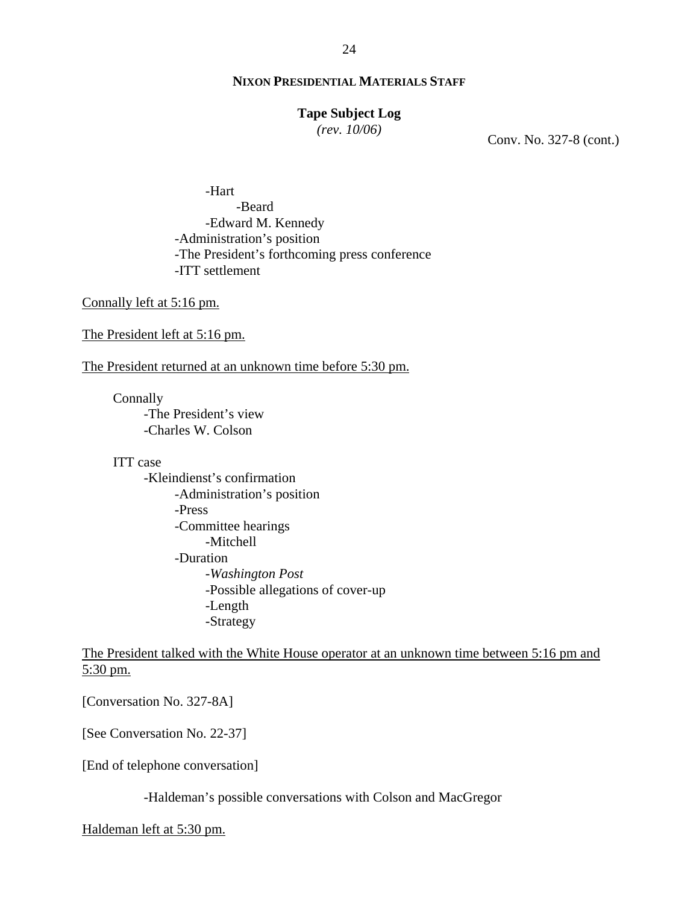#### 24

## **NIXON PRESIDENTIAL MATERIALS STAFF**

## **Tape Subject Log**

*(rev. 10/06)*

Conv. No. 327-8 (cont.)

-Hart -Beard -Edward M. Kennedy -Administration's position -The President's forthcoming press conference -ITT settlement

Connally left at 5:16 pm.

The President left at 5:16 pm.

The President returned at an unknown time before 5:30 pm.

**Connally** 

-The President's view -Charles W. Colson

ITT case

-Kleindienst's confirmation -Administration's position -Press -Committee hearings -Mitchell -Duration -*Washington Post* -Possible allegations of cover-up -Length -Strategy

The President talked with the White House operator at an unknown time between 5:16 pm and 5:30 pm.

[Conversation No. 327-8A]

[See Conversation No. 22-37]

[End of telephone conversation]

-Haldeman's possible conversations with Colson and MacGregor

Haldeman left at 5:30 pm.